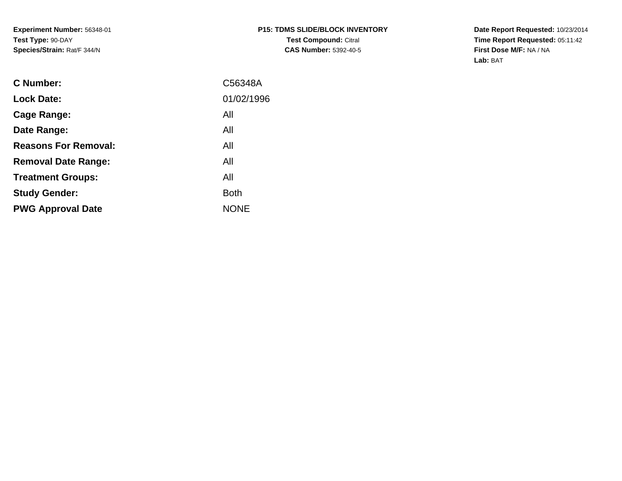**Date Report Requested:** 10/23/2014 **Time Report Requested:** 05:11:42**First Dose M/F:** NA / NA**Lab:** BAT

| <b>C</b> Number:            | C56348A     |
|-----------------------------|-------------|
| <b>Lock Date:</b>           | 01/02/1996  |
| Cage Range:                 | All         |
| Date Range:                 | All         |
| <b>Reasons For Removal:</b> | All         |
| <b>Removal Date Range:</b>  | All         |
| <b>Treatment Groups:</b>    | All         |
| <b>Study Gender:</b>        | <b>Both</b> |
| <b>PWG Approval Date</b>    | <b>NONE</b> |
|                             |             |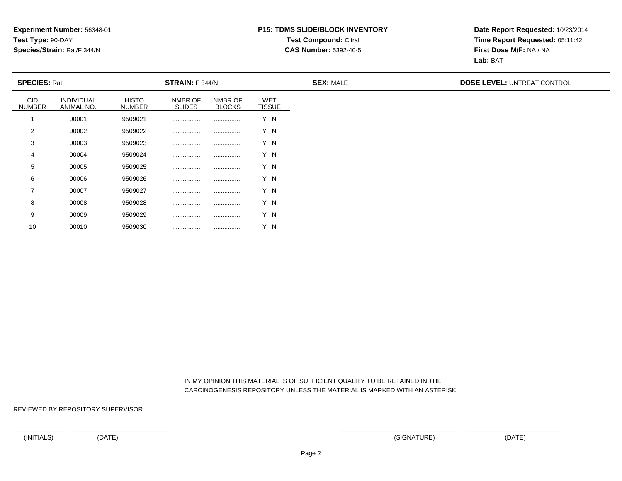## **P15: TDMS SLIDE/BLOCK INVENTORYTest Compound:** Citral **CAS Number:** 5392-40-5

**Date Report Requested:** 10/23/2014**Time Report Requested:** 05:11:42**First Dose M/F:** NA / NA**Lab:** BAT

| <b>SPECIES: Rat</b>  |                                 |                               | <b>STRAIN: F 344/N</b>   |                          |                             | <b>SEX: MALE</b> | <b>DOSE LEVEL: UNTREAT CONTROL</b> |
|----------------------|---------------------------------|-------------------------------|--------------------------|--------------------------|-----------------------------|------------------|------------------------------------|
| CID<br><b>NUMBER</b> | <b>INDIVIDUAL</b><br>ANIMAL NO. | <b>HISTO</b><br><b>NUMBER</b> | NMBR OF<br><b>SLIDES</b> | NMBR OF<br><b>BLOCKS</b> | <b>WET</b><br><b>TISSUE</b> |                  |                                    |
|                      | 00001                           | 9509021                       |                          |                          | Y N                         |                  |                                    |
| $\overline{2}$       | 00002                           | 9509022                       |                          |                          | Y N                         |                  |                                    |
| 3                    | 00003                           | 9509023                       |                          |                          | Y N                         |                  |                                    |
| 4                    | 00004                           | 9509024                       |                          |                          | Y N                         |                  |                                    |
| 5                    | 00005                           | 9509025                       |                          |                          | Y N                         |                  |                                    |
| 6                    | 00006                           | 9509026                       |                          | .                        | Y N                         |                  |                                    |
| $\overline{7}$       | 00007                           | 9509027                       |                          |                          | Y N                         |                  |                                    |
| 8                    | 00008                           | 9509028                       |                          |                          | Y N                         |                  |                                    |
| 9                    | 00009                           | 9509029                       |                          |                          | Y N                         |                  |                                    |

 IN MY OPINION THIS MATERIAL IS OF SUFFICIENT QUALITY TO BE RETAINED IN THECARCINOGENESIS REPOSITORY UNLESS THE MATERIAL IS MARKED WITH AN ASTERISK

REVIEWED BY REPOSITORY SUPERVISOR

10

<sup>00010</sup> <sup>9509030</sup> ................ ................ Y N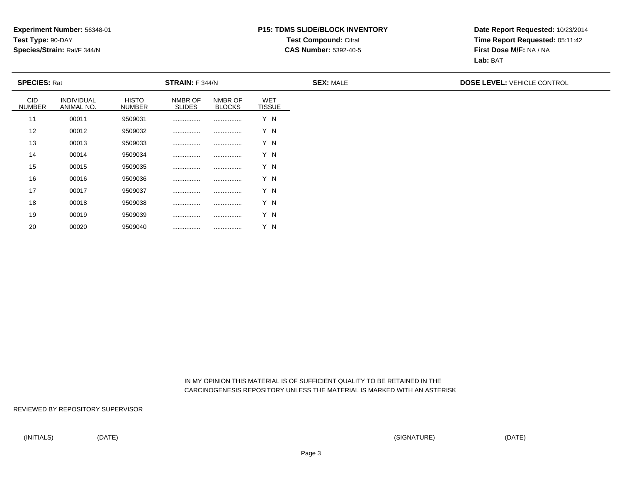## **P15: TDMS SLIDE/BLOCK INVENTORYTest Compound:** Citral **CAS Number:** 5392-40-5

**Date Report Requested:** 10/23/2014**Time Report Requested:** 05:11:42**First Dose M/F:** NA / NA**Lab:** BAT

| <b>SPECIES: Rat</b>         |                          |                               | STRAIN: F 344/N          |                          |                             | <b>SEX: MALE</b> | <b>DOSE LEVEL: VEHICLE CONTROL</b> |
|-----------------------------|--------------------------|-------------------------------|--------------------------|--------------------------|-----------------------------|------------------|------------------------------------|
| <b>CID</b><br><b>NUMBER</b> | INDIVIDUAL<br>ANIMAL NO. | <b>HISTO</b><br><b>NUMBER</b> | NMBR OF<br><b>SLIDES</b> | NMBR OF<br><b>BLOCKS</b> | <b>WET</b><br><b>TISSUE</b> |                  |                                    |
| 11                          | 00011                    | 9509031                       |                          |                          | Y N                         |                  |                                    |
| 12                          | 00012                    | 9509032                       |                          |                          | Y N                         |                  |                                    |
| 13                          | 00013                    | 9509033                       |                          |                          | Y N                         |                  |                                    |
| 14                          | 00014                    | 9509034                       |                          |                          | Y N                         |                  |                                    |
| 15                          | 00015                    | 9509035                       |                          |                          | Y N                         |                  |                                    |
| 16                          | 00016                    | 9509036                       |                          |                          | Y N                         |                  |                                    |
| 17                          | 00017                    | 9509037                       |                          |                          | Y N                         |                  |                                    |
| 18                          | 00018                    | 9509038                       |                          |                          | Y N                         |                  |                                    |
| 19                          | 00019                    | 9509039                       | .                        | .                        | Y N                         |                  |                                    |

 IN MY OPINION THIS MATERIAL IS OF SUFFICIENT QUALITY TO BE RETAINED IN THECARCINOGENESIS REPOSITORY UNLESS THE MATERIAL IS MARKED WITH AN ASTERISK

REVIEWED BY REPOSITORY SUPERVISOR

20

<sup>00020</sup> <sup>9509040</sup> ................ ................ Y N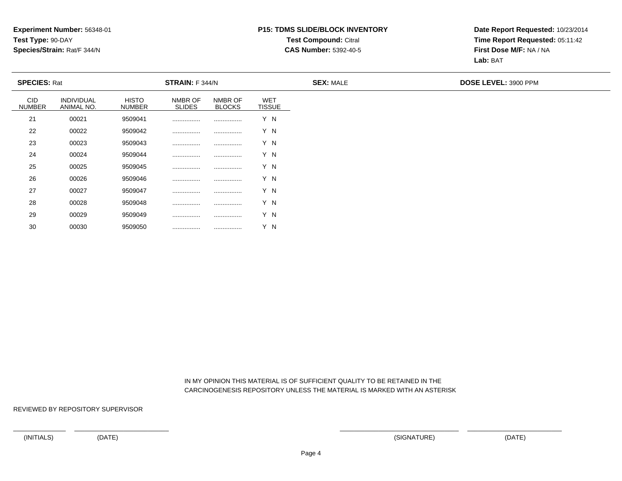## **P15: TDMS SLIDE/BLOCK INVENTORYTest Compound:** Citral **CAS Number:** 5392-40-5

**Date Report Requested:** 10/23/2014**Time Report Requested:** 05:11:42**First Dose M/F:** NA / NA**Lab:** BAT

| <b>SPECIES: Rat</b>         |                                 |                               | STRAIN: F 344/N          |                          |                             | <b>SEX: MALE</b> | DOSE LEVEL: 3900 PPM |
|-----------------------------|---------------------------------|-------------------------------|--------------------------|--------------------------|-----------------------------|------------------|----------------------|
| <b>CID</b><br><b>NUMBER</b> | <b>INDIVIDUAL</b><br>ANIMAL NO. | <b>HISTO</b><br><b>NUMBER</b> | NMBR OF<br><b>SLIDES</b> | NMBR OF<br><b>BLOCKS</b> | <b>WET</b><br><b>TISSUE</b> |                  |                      |
| 21                          | 00021                           | 9509041                       |                          |                          | Y N                         |                  |                      |
| 22                          | 00022                           | 9509042                       |                          |                          | Y N                         |                  |                      |
| 23                          | 00023                           | 9509043                       |                          |                          | Y N                         |                  |                      |
| 24                          | 00024                           | 9509044                       |                          |                          | Y N                         |                  |                      |
| 25                          | 00025                           | 9509045                       |                          |                          | Y N                         |                  |                      |
| 26                          | 00026                           | 9509046                       |                          |                          | Y N                         |                  |                      |
| 27                          | 00027                           | 9509047                       |                          |                          | Y N                         |                  |                      |
| 28                          | 00028                           | 9509048                       |                          |                          | Y N                         |                  |                      |
| 29                          | 00029                           | 9509049                       |                          |                          | Y N                         |                  |                      |

 IN MY OPINION THIS MATERIAL IS OF SUFFICIENT QUALITY TO BE RETAINED IN THECARCINOGENESIS REPOSITORY UNLESS THE MATERIAL IS MARKED WITH AN ASTERISK

REVIEWED BY REPOSITORY SUPERVISOR

30

<sup>00030</sup> <sup>9509050</sup> ................ ................ Y N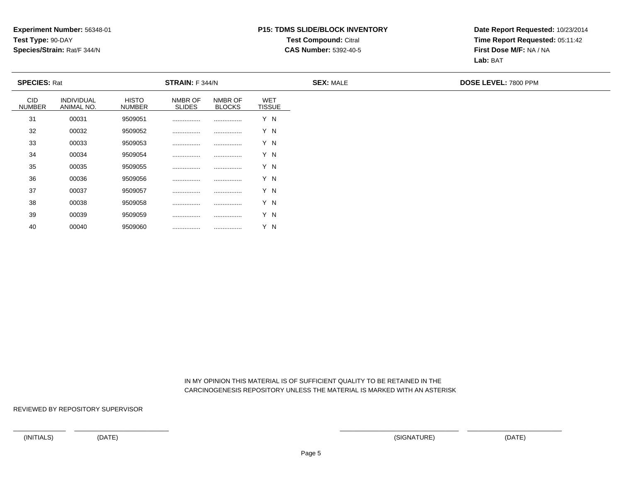## **P15: TDMS SLIDE/BLOCK INVENTORYTest Compound:** Citral **CAS Number:** 5392-40-5

**Date Report Requested:** 10/23/2014**Time Report Requested:** 05:11:42**First Dose M/F:** NA / NA**Lab:** BAT

| <b>SPECIES: Rat</b>         |                                 |                               | STRAIN: F 344/N          |                          |                             | <b>SEX: MALE</b> | DOSE LEVEL: 7800 PPM |
|-----------------------------|---------------------------------|-------------------------------|--------------------------|--------------------------|-----------------------------|------------------|----------------------|
| <b>CID</b><br><b>NUMBER</b> | <b>INDIVIDUAL</b><br>ANIMAL NO. | <b>HISTO</b><br><b>NUMBER</b> | NMBR OF<br><b>SLIDES</b> | NMBR OF<br><b>BLOCKS</b> | <b>WET</b><br><b>TISSUE</b> |                  |                      |
| 31                          | 00031                           | 9509051                       |                          |                          | Y N                         |                  |                      |
| 32                          | 00032                           | 9509052                       |                          |                          | Y N                         |                  |                      |
| 33                          | 00033                           | 9509053                       |                          |                          | Y N                         |                  |                      |
| 34                          | 00034                           | 9509054                       | .                        |                          | Y N                         |                  |                      |
| 35                          | 00035                           | 9509055                       |                          |                          | Y N                         |                  |                      |
| 36                          | 00036                           | 9509056                       |                          |                          | Y N                         |                  |                      |
| 37                          | 00037                           | 9509057                       |                          |                          | Y N                         |                  |                      |
| 38                          | 00038                           | 9509058                       |                          |                          | Y N                         |                  |                      |
| 39                          | 00039                           | 9509059                       |                          |                          | Y N                         |                  |                      |

 IN MY OPINION THIS MATERIAL IS OF SUFFICIENT QUALITY TO BE RETAINED IN THECARCINOGENESIS REPOSITORY UNLESS THE MATERIAL IS MARKED WITH AN ASTERISK

REVIEWED BY REPOSITORY SUPERVISOR

40

<sup>00040</sup> <sup>9509060</sup> ................ ................ Y N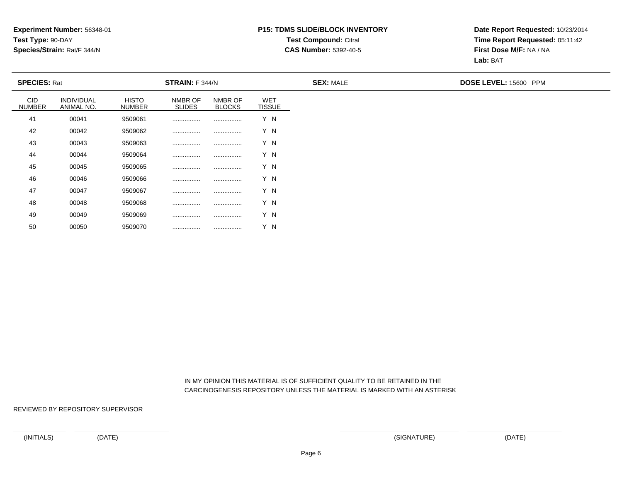## **P15: TDMS SLIDE/BLOCK INVENTORYTest Compound:** Citral **CAS Number:** 5392-40-5

**Date Report Requested:** 10/23/2014**Time Report Requested:** 05:11:42**First Dose M/F:** NA / NA**Lab:** BAT

| <b>SPECIES: Rat</b>         |                                 |                               | STRAIN: F 344/N          |                          |                             | <b>SEX: MALE</b> | DOSE LEVEL: 15600 PPM |
|-----------------------------|---------------------------------|-------------------------------|--------------------------|--------------------------|-----------------------------|------------------|-----------------------|
| <b>CID</b><br><b>NUMBER</b> | <b>INDIVIDUAL</b><br>ANIMAL NO. | <b>HISTO</b><br><b>NUMBER</b> | NMBR OF<br><b>SLIDES</b> | NMBR OF<br><b>BLOCKS</b> | <b>WET</b><br><b>TISSUE</b> |                  |                       |
| 41                          | 00041                           | 9509061                       |                          |                          | Y N                         |                  |                       |
| 42                          | 00042                           | 9509062                       |                          |                          | Y N                         |                  |                       |
| 43                          | 00043                           | 9509063                       |                          |                          | Y N                         |                  |                       |
| 44                          | 00044                           | 9509064                       |                          |                          | Y N                         |                  |                       |
| 45                          | 00045                           | 9509065                       |                          |                          | Y N                         |                  |                       |
| 46                          | 00046                           | 9509066                       |                          |                          | Y N                         |                  |                       |
| 47                          | 00047                           | 9509067                       |                          |                          | Y N                         |                  |                       |
| 48                          | 00048                           | 9509068                       |                          |                          | Y N                         |                  |                       |
| 49                          | 00049                           | 9509069                       |                          |                          | Y N                         |                  |                       |

 IN MY OPINION THIS MATERIAL IS OF SUFFICIENT QUALITY TO BE RETAINED IN THECARCINOGENESIS REPOSITORY UNLESS THE MATERIAL IS MARKED WITH AN ASTERISK

REVIEWED BY REPOSITORY SUPERVISOR

50

<sup>00050</sup> <sup>9509070</sup> ................ ................ Y N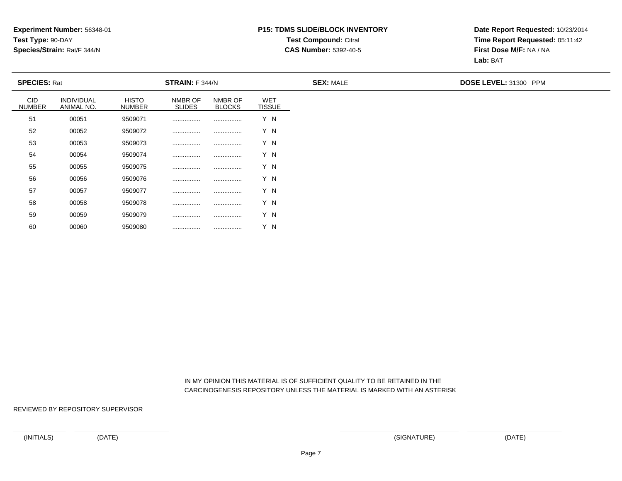## **P15: TDMS SLIDE/BLOCK INVENTORYTest Compound:** Citral **CAS Number:** 5392-40-5

**Date Report Requested:** 10/23/2014**Time Report Requested:** 05:11:42**First Dose M/F:** NA / NA**Lab:** BAT

| <b>SPECIES: Rat</b>         |                          |                               | <b>STRAIN:</b> F 344/N   |                          |                             | <b>SEX: MALE</b> | DOSE LEVEL: 31300 PPM |
|-----------------------------|--------------------------|-------------------------------|--------------------------|--------------------------|-----------------------------|------------------|-----------------------|
| <b>CID</b><br><b>NUMBER</b> | INDIVIDUAL<br>ANIMAL NO. | <b>HISTO</b><br><b>NUMBER</b> | NMBR OF<br><b>SLIDES</b> | NMBR OF<br><b>BLOCKS</b> | <b>WET</b><br><b>TISSUE</b> |                  |                       |
| 51                          | 00051                    | 9509071                       |                          |                          | Y N                         |                  |                       |
| 52                          | 00052                    | 9509072                       |                          |                          | Y N                         |                  |                       |
| 53                          | 00053                    | 9509073                       |                          |                          | Y N                         |                  |                       |
| 54                          | 00054                    | 9509074                       |                          |                          | Y N                         |                  |                       |
| 55                          | 00055                    | 9509075                       |                          |                          | Y N                         |                  |                       |
| 56                          | 00056                    | 9509076                       |                          |                          | Y N                         |                  |                       |
| 57                          | 00057                    | 9509077                       |                          |                          | Y N                         |                  |                       |
| 58                          | 00058                    | 9509078                       |                          |                          | Y N                         |                  |                       |
| 59                          | 00059                    | 9509079                       |                          |                          | Y N                         |                  |                       |

 IN MY OPINION THIS MATERIAL IS OF SUFFICIENT QUALITY TO BE RETAINED IN THECARCINOGENESIS REPOSITORY UNLESS THE MATERIAL IS MARKED WITH AN ASTERISK

REVIEWED BY REPOSITORY SUPERVISOR

60

<sup>00060</sup> <sup>9509080</sup> ................ ................ Y N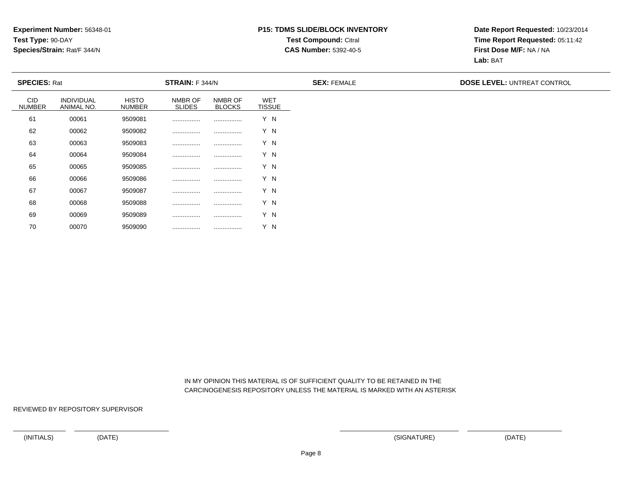## **P15: TDMS SLIDE/BLOCK INVENTORYTest Compound:** Citral **CAS Number:** 5392-40-5

**Date Report Requested:** 10/23/2014**Time Report Requested:** 05:11:42**First Dose M/F:** NA / NA**Lab:** BAT

| <b>SPECIES: Rat</b>         |                                 |                               | <b>STRAIN:</b> F 344/N   |                          |                             | <b>SEX: FEMALE</b> | <b>DOSE LEVEL: UNTREAT CONTROL</b> |
|-----------------------------|---------------------------------|-------------------------------|--------------------------|--------------------------|-----------------------------|--------------------|------------------------------------|
| <b>CID</b><br><b>NUMBER</b> | <b>INDIVIDUAL</b><br>ANIMAL NO. | <b>HISTO</b><br><b>NUMBER</b> | NMBR OF<br><b>SLIDES</b> | NMBR OF<br><b>BLOCKS</b> | <b>WET</b><br><b>TISSUE</b> |                    |                                    |
| 61                          | 00061                           | 9509081                       |                          |                          | Y N                         |                    |                                    |
| 62                          | 00062                           | 9509082                       |                          |                          | Y N                         |                    |                                    |
| 63                          | 00063                           | 9509083                       |                          |                          | Y N                         |                    |                                    |
| 64                          | 00064                           | 9509084                       |                          |                          | Y N                         |                    |                                    |
| 65                          | 00065                           | 9509085                       |                          |                          | Y N                         |                    |                                    |
| 66                          | 00066                           | 9509086                       |                          |                          | Y N                         |                    |                                    |
| 67                          | 00067                           | 9509087                       |                          |                          | Y N                         |                    |                                    |
| 68                          | 00068                           | 9509088                       |                          |                          | Y N                         |                    |                                    |
| 69                          | 00069                           | 9509089                       |                          |                          | Y N                         |                    |                                    |

 IN MY OPINION THIS MATERIAL IS OF SUFFICIENT QUALITY TO BE RETAINED IN THECARCINOGENESIS REPOSITORY UNLESS THE MATERIAL IS MARKED WITH AN ASTERISK

REVIEWED BY REPOSITORY SUPERVISOR

70

<sup>00070</sup> <sup>9509090</sup> ................ ................ Y N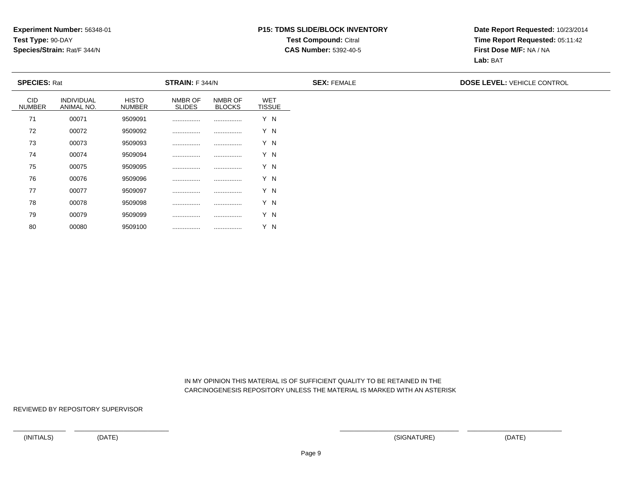## **P15: TDMS SLIDE/BLOCK INVENTORYTest Compound:** Citral **CAS Number:** 5392-40-5

**Date Report Requested:** 10/23/2014**Time Report Requested:** 05:11:42**First Dose M/F:** NA / NA**Lab:** BAT

| <b>SPECIES: Rat</b>         |                          |                               | <b>STRAIN:</b> F 344/N   |                          |                             | <b>SEX: FEMALE</b> | <b>DOSE LEVEL: VEHICLE CONTROL</b> |
|-----------------------------|--------------------------|-------------------------------|--------------------------|--------------------------|-----------------------------|--------------------|------------------------------------|
| <b>CID</b><br><b>NUMBER</b> | INDIVIDUAL<br>ANIMAL NO. | <b>HISTO</b><br><b>NUMBER</b> | NMBR OF<br><b>SLIDES</b> | NMBR OF<br><b>BLOCKS</b> | <b>WET</b><br><b>TISSUE</b> |                    |                                    |
| 71                          | 00071                    | 9509091                       |                          |                          | Y N                         |                    |                                    |
| 72                          | 00072                    | 9509092                       |                          |                          | Y N                         |                    |                                    |
| 73                          | 00073                    | 9509093                       |                          |                          | Y N                         |                    |                                    |
| 74                          | 00074                    | 9509094                       |                          |                          | Y N                         |                    |                                    |
| 75                          | 00075                    | 9509095                       |                          |                          | Y N                         |                    |                                    |
| 76                          | 00076                    | 9509096                       |                          |                          | Y N                         |                    |                                    |
| 77                          | 00077                    | 9509097                       |                          |                          | Y N                         |                    |                                    |
| 78                          | 00078                    | 9509098                       |                          |                          | Y N                         |                    |                                    |
| 79                          | 00079                    | 9509099                       |                          |                          | Y N                         |                    |                                    |

 IN MY OPINION THIS MATERIAL IS OF SUFFICIENT QUALITY TO BE RETAINED IN THECARCINOGENESIS REPOSITORY UNLESS THE MATERIAL IS MARKED WITH AN ASTERISK

REVIEWED BY REPOSITORY SUPERVISOR

80

<sup>00080</sup> <sup>9509100</sup> ................ ................ Y N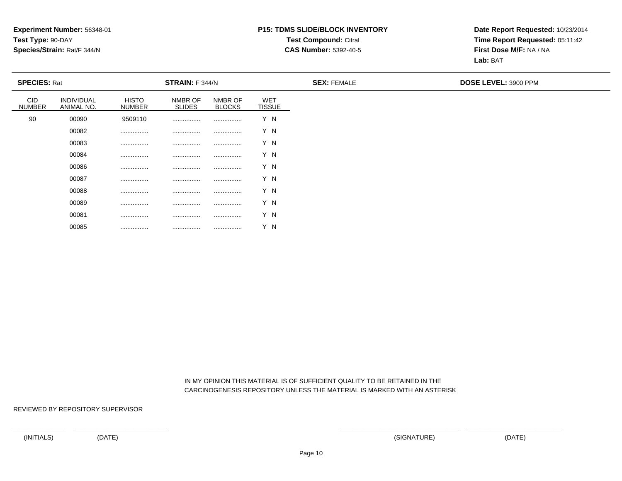## **P15: TDMS SLIDE/BLOCK INVENTORYTest Compound:** Citral **CAS Number:** 5392-40-5

**Date Report Requested:** 10/23/2014**Time Report Requested:** 05:11:42**First Dose M/F:** NA / NA**Lab:** BAT

| <b>SPECIES: Rat</b>         |                          |                               | <b>STRAIN: F 344/N</b>   |                          |                             | <b>SEX: FEMALE</b> | DOSE LEVEL: 3900 PPM |
|-----------------------------|--------------------------|-------------------------------|--------------------------|--------------------------|-----------------------------|--------------------|----------------------|
| <b>CID</b><br><b>NUMBER</b> | INDIVIDUAL<br>ANIMAL NO. | <b>HISTO</b><br><b>NUMBER</b> | NMBR OF<br><b>SLIDES</b> | NMBR OF<br><b>BLOCKS</b> | <b>WET</b><br><b>TISSUE</b> |                    |                      |
| 90                          | 00090                    | 9509110                       |                          |                          | Y N                         |                    |                      |
|                             | 00082                    |                               |                          |                          | Y N                         |                    |                      |
|                             | 00083                    |                               |                          |                          | Y N                         |                    |                      |
|                             | 00084                    |                               |                          |                          | Y N                         |                    |                      |
|                             | 00086                    |                               |                          |                          | Y N                         |                    |                      |
|                             | 00087                    |                               |                          |                          | Y N                         |                    |                      |
|                             | 00088                    |                               |                          |                          | Y N                         |                    |                      |
|                             | 00089                    |                               |                          |                          | Y N                         |                    |                      |
|                             | 00081                    |                               |                          |                          | Y N                         |                    |                      |

 IN MY OPINION THIS MATERIAL IS OF SUFFICIENT QUALITY TO BE RETAINED IN THECARCINOGENESIS REPOSITORY UNLESS THE MATERIAL IS MARKED WITH AN ASTERISK

REVIEWED BY REPOSITORY SUPERVISOR

00085

................ ................ ................ Y N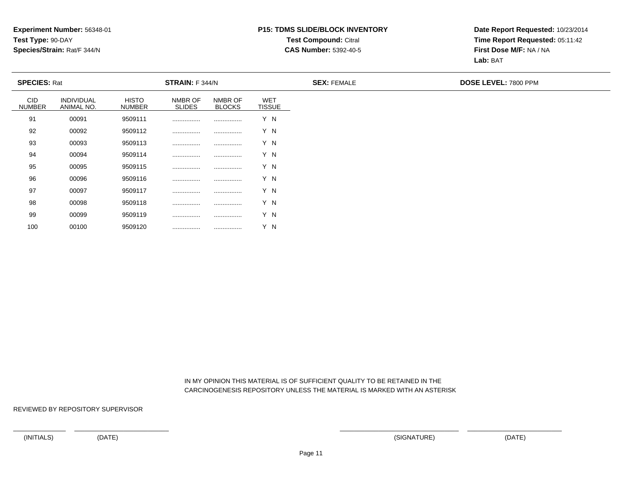## **P15: TDMS SLIDE/BLOCK INVENTORYTest Compound:** Citral **CAS Number:** 5392-40-5

**Date Report Requested:** 10/23/2014**Time Report Requested:** 05:11:42**First Dose M/F:** NA / NA**Lab:** BAT

| <b>SPECIES: Rat</b>         |                          |                               | <b>STRAIN:</b> F 344/N   |                          |                             | <b>SEX: FEMALE</b> | <b>DOSE LEVEL: 7800 PPM</b> |
|-----------------------------|--------------------------|-------------------------------|--------------------------|--------------------------|-----------------------------|--------------------|-----------------------------|
| <b>CID</b><br><b>NUMBER</b> | INDIVIDUAL<br>ANIMAL NO. | <b>HISTO</b><br><b>NUMBER</b> | NMBR OF<br><b>SLIDES</b> | NMBR OF<br><b>BLOCKS</b> | <b>WET</b><br><b>TISSUE</b> |                    |                             |
| 91                          | 00091                    | 9509111                       |                          |                          | Y N                         |                    |                             |
| 92                          | 00092                    | 9509112                       |                          |                          | Y N                         |                    |                             |
| 93                          | 00093                    | 9509113                       |                          |                          | Y N                         |                    |                             |
| 94                          | 00094                    | 9509114                       |                          |                          | Y N                         |                    |                             |
| 95                          | 00095                    | 9509115                       |                          |                          | Y N                         |                    |                             |
| 96                          | 00096                    | 9509116                       |                          |                          | Y N                         |                    |                             |
| 97                          | 00097                    | 9509117                       |                          |                          | Y N                         |                    |                             |
| 98                          | 00098                    | 9509118                       |                          |                          | Y N                         |                    |                             |
| 99                          | 00099                    | 9509119                       |                          |                          | Y N                         |                    |                             |

 IN MY OPINION THIS MATERIAL IS OF SUFFICIENT QUALITY TO BE RETAINED IN THECARCINOGENESIS REPOSITORY UNLESS THE MATERIAL IS MARKED WITH AN ASTERISK

REVIEWED BY REPOSITORY SUPERVISOR

100

<sup>00100</sup> <sup>9509120</sup> ................ ................ Y N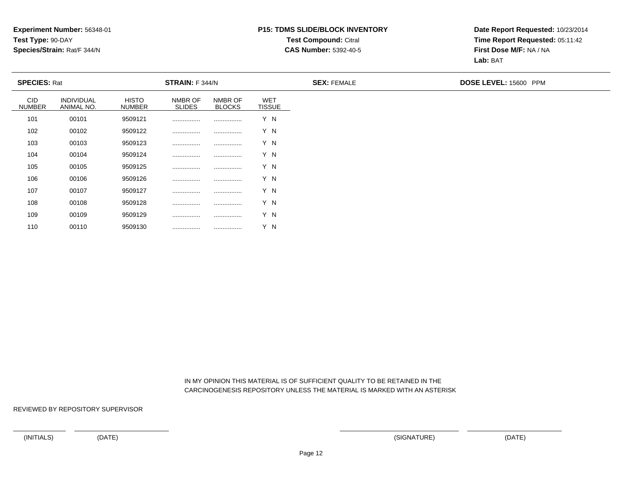## **P15: TDMS SLIDE/BLOCK INVENTORYTest Compound:** Citral **CAS Number:** 5392-40-5

**Date Report Requested:** 10/23/2014**Time Report Requested:** 05:11:42**First Dose M/F:** NA / NA**Lab:** BAT

| <b>SPECIES: Rat</b>         |                          |                               | <b>STRAIN: F 344/N</b>   |                          |                             | <b>SEX: FEMALE</b> | DOSE LEVEL: 15600 PPM |
|-----------------------------|--------------------------|-------------------------------|--------------------------|--------------------------|-----------------------------|--------------------|-----------------------|
| <b>CID</b><br><b>NUMBER</b> | INDIVIDUAL<br>ANIMAL NO. | <b>HISTO</b><br><b>NUMBER</b> | NMBR OF<br><b>SLIDES</b> | NMBR OF<br><b>BLOCKS</b> | <b>WET</b><br><b>TISSUE</b> |                    |                       |
| 101                         | 00101                    | 9509121                       |                          |                          | Y N                         |                    |                       |
| 102                         | 00102                    | 9509122                       |                          |                          | Y N                         |                    |                       |
| 103                         | 00103                    | 9509123                       |                          |                          | Y N                         |                    |                       |
| 104                         | 00104                    | 9509124                       |                          |                          | Y N                         |                    |                       |
| 105                         | 00105                    | 9509125                       |                          |                          | Y N                         |                    |                       |
| 106                         | 00106                    | 9509126                       |                          |                          | Y N                         |                    |                       |
| 107                         | 00107                    | 9509127                       |                          |                          | Y N                         |                    |                       |
| 108                         | 00108                    | 9509128                       |                          |                          | Y N                         |                    |                       |
| 109                         | 00109                    | 9509129                       |                          |                          | Y N                         |                    |                       |
| 110                         | 00110                    | 9509130                       |                          |                          | Y N                         |                    |                       |

 IN MY OPINION THIS MATERIAL IS OF SUFFICIENT QUALITY TO BE RETAINED IN THECARCINOGENESIS REPOSITORY UNLESS THE MATERIAL IS MARKED WITH AN ASTERISK

REVIEWED BY REPOSITORY SUPERVISOR